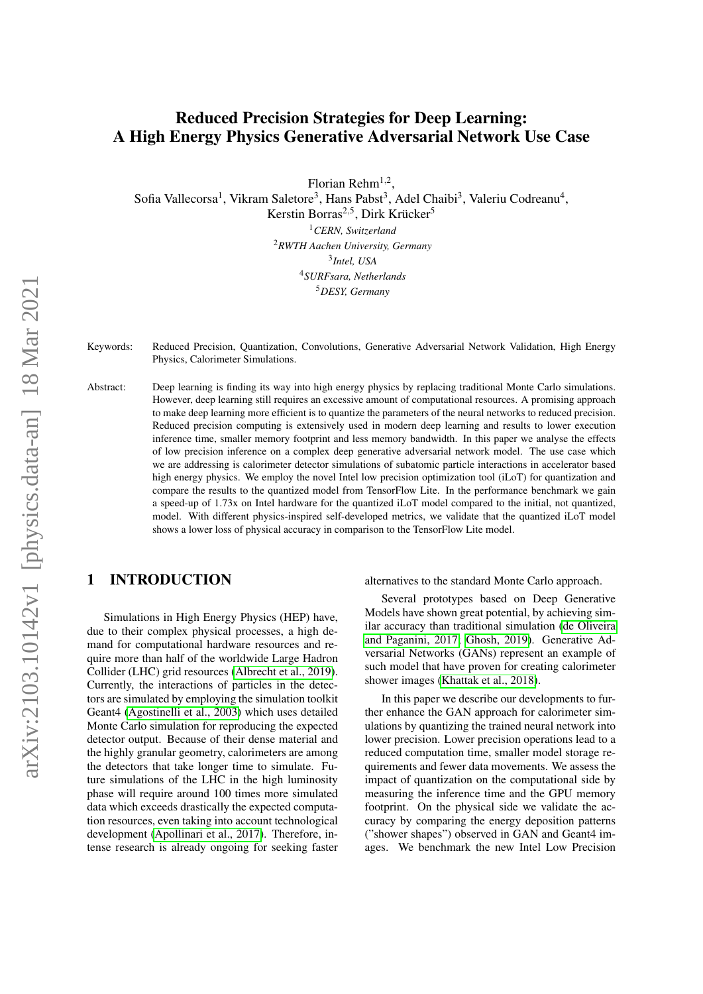# Reduced Precision Strategies for Deep Learning: A High Energy Physics Generative Adversarial Network Use Case

Florian Rehm $^{1,2}$ ,

Sofia Vallecorsa<sup>1</sup>, Vikram Saletore<sup>3</sup>, Hans Pabst<sup>3</sup>, Adel Chaibi<sup>3</sup>, Valeriu Codreanu<sup>4</sup>,

Kerstin Borras<sup>2,5</sup>, Dirk Krücker<sup>5</sup>

*CERN, Switzerland RWTH Aachen University, Germany Intel, USA SURFsara, Netherlands DESY, Germany*

Keywords: Reduced Precision, Quantization, Convolutions, Generative Adversarial Network Validation, High Energy Physics, Calorimeter Simulations.

Abstract: Deep learning is finding its way into high energy physics by replacing traditional Monte Carlo simulations. However, deep learning still requires an excessive amount of computational resources. A promising approach to make deep learning more efficient is to quantize the parameters of the neural networks to reduced precision. Reduced precision computing is extensively used in modern deep learning and results to lower execution inference time, smaller memory footprint and less memory bandwidth. In this paper we analyse the effects of low precision inference on a complex deep generative adversarial network model. The use case which we are addressing is calorimeter detector simulations of subatomic particle interactions in accelerator based high energy physics. We employ the novel Intel low precision optimization tool (iLoT) for quantization and compare the results to the quantized model from TensorFlow Lite. In the performance benchmark we gain a speed-up of 1.73x on Intel hardware for the quantized iLoT model compared to the initial, not quantized, model. With different physics-inspired self-developed metrics, we validate that the quantized iLoT model shows a lower loss of physical accuracy in comparison to the TensorFlow Lite model.

# 1 INTRODUCTION

Simulations in High Energy Physics (HEP) have, due to their complex physical processes, a high demand for computational hardware resources and require more than half of the worldwide Large Hadron Collider (LHC) grid resources [\(Albrecht et al., 2019\)](#page-7-0). Currently, the interactions of particles in the detectors are simulated by employing the simulation toolkit Geant4 [\(Agostinelli et al., 2003\)](#page-7-1) which uses detailed Monte Carlo simulation for reproducing the expected detector output. Because of their dense material and the highly granular geometry, calorimeters are among the detectors that take longer time to simulate. Future simulations of the LHC in the high luminosity phase will require around 100 times more simulated data which exceeds drastically the expected computation resources, even taking into account technological development [\(Apollinari et al., 2017\)](#page-7-2). Therefore, intense research is already ongoing for seeking faster alternatives to the standard Monte Carlo approach.

Several prototypes based on Deep Generative Models have shown great potential, by achieving similar accuracy than traditional simulation [\(de Oliveira](#page-7-3) [and Paganini, 2017;](#page-7-3) [Ghosh, 2019\)](#page-7-4). Generative Adversarial Networks (GANs) represent an example of such model that have proven for creating calorimeter shower images [\(Khattak et al., 2018\)](#page-7-5).

In this paper we describe our developments to further enhance the GAN approach for calorimeter simulations by quantizing the trained neural network into lower precision. Lower precision operations lead to a reduced computation time, smaller model storage requirements and fewer data movements. We assess the impact of quantization on the computational side by measuring the inference time and the GPU memory footprint. On the physical side we validate the accuracy by comparing the energy deposition patterns ("shower shapes") observed in GAN and Geant4 images. We benchmark the new Intel Low Precision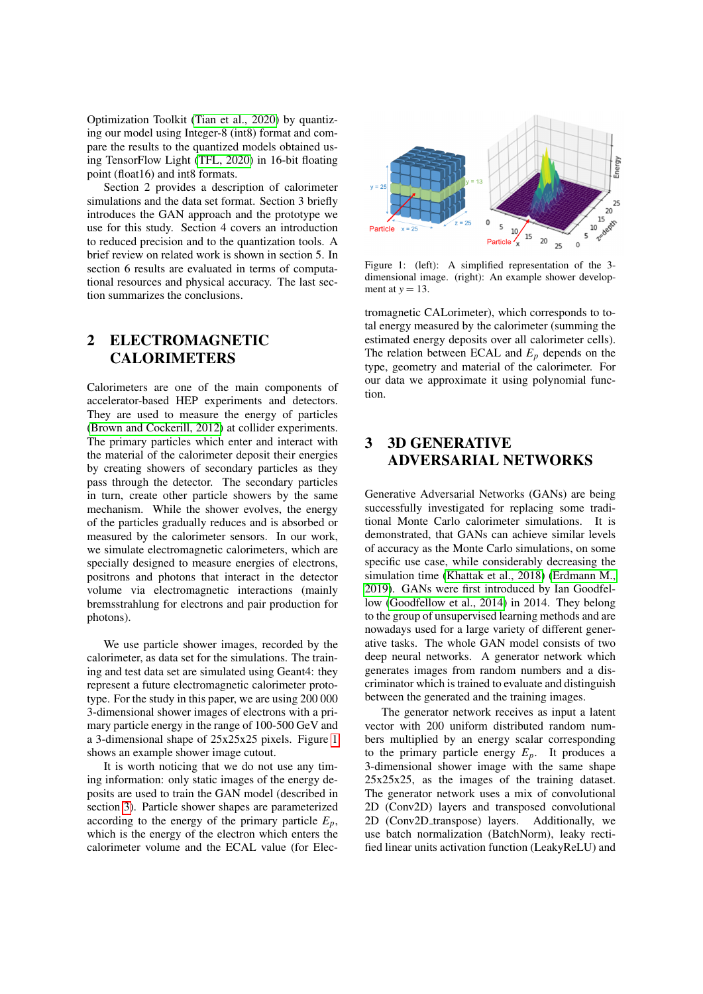Optimization Toolkit [\(Tian et al., 2020\)](#page-7-6) by quantizing our model using Integer-8 (int8) format and compare the results to the quantized models obtained using TensorFlow Light [\(TFL, 2020\)](#page-7-7) in 16-bit floating point (float16) and int8 formats.

Section 2 provides a description of calorimeter simulations and the data set format. Section 3 briefly introduces the GAN approach and the prototype we use for this study. Section 4 covers an introduction to reduced precision and to the quantization tools. A brief review on related work is shown in section 5. In section 6 results are evaluated in terms of computational resources and physical accuracy. The last section summarizes the conclusions.

## <span id="page-1-2"></span>2 ELECTROMAGNETIC **CALORIMETERS**

Calorimeters are one of the main components of accelerator-based HEP experiments and detectors. They are used to measure the energy of particles [\(Brown and Cockerill, 2012\)](#page-7-8) at collider experiments. The primary particles which enter and interact with the material of the calorimeter deposit their energies by creating showers of secondary particles as they pass through the detector. The secondary particles in turn, create other particle showers by the same mechanism. While the shower evolves, the energy of the particles gradually reduces and is absorbed or measured by the calorimeter sensors. In our work, we simulate electromagnetic calorimeters, which are specially designed to measure energies of electrons, positrons and photons that interact in the detector volume via electromagnetic interactions (mainly bremsstrahlung for electrons and pair production for photons).

We use particle shower images, recorded by the calorimeter, as data set for the simulations. The training and test data set are simulated using Geant4: they represent a future electromagnetic calorimeter prototype. For the study in this paper, we are using 200 000 3-dimensional shower images of electrons with a primary particle energy in the range of 100-500 GeV and a 3-dimensional shape of 25x25x25 pixels. Figure [1](#page-1-0) shows an example shower image cutout.

It is worth noticing that we do not use any timing information: only static images of the energy deposits are used to train the GAN model (described in section [3\)](#page-1-1). Particle shower shapes are parameterized according to the energy of the primary particle  $E_p$ , which is the energy of the electron which enters the calorimeter volume and the ECAL value (for Elec-

<span id="page-1-0"></span>

Figure 1: (left): A simplified representation of the 3 dimensional image. (right): An example shower development at  $y = 13$ .

tromagnetic CALorimeter), which corresponds to total energy measured by the calorimeter (summing the estimated energy deposits over all calorimeter cells). The relation between ECAL and  $E_p$  depends on the type, geometry and material of the calorimeter. For our data we approximate it using polynomial function.

# <span id="page-1-1"></span>3 3D GENERATIVE ADVERSARIAL NETWORKS

Generative Adversarial Networks (GANs) are being successfully investigated for replacing some traditional Monte Carlo calorimeter simulations. It is demonstrated, that GANs can achieve similar levels of accuracy as the Monte Carlo simulations, on some specific use case, while considerably decreasing the simulation time [\(Khattak et al., 2018\)](#page-7-5) [\(Erdmann M.,](#page-7-9) [2019\)](#page-7-9). GANs were first introduced by Ian Goodfellow [\(Goodfellow et al., 2014\)](#page-7-10) in 2014. They belong to the group of unsupervised learning methods and are nowadays used for a large variety of different generative tasks. The whole GAN model consists of two deep neural networks. A generator network which generates images from random numbers and a discriminator which is trained to evaluate and distinguish between the generated and the training images.

The generator network receives as input a latent vector with 200 uniform distributed random numbers multiplied by an energy scalar corresponding to the primary particle energy  $E_p$ . It produces a 3-dimensional shower image with the same shape 25x25x25, as the images of the training dataset. The generator network uses a mix of convolutional 2D (Conv2D) layers and transposed convolutional 2D (Conv2D\_transpose) layers. Additionally, we use batch normalization (BatchNorm), leaky rectified linear units activation function (LeakyReLU) and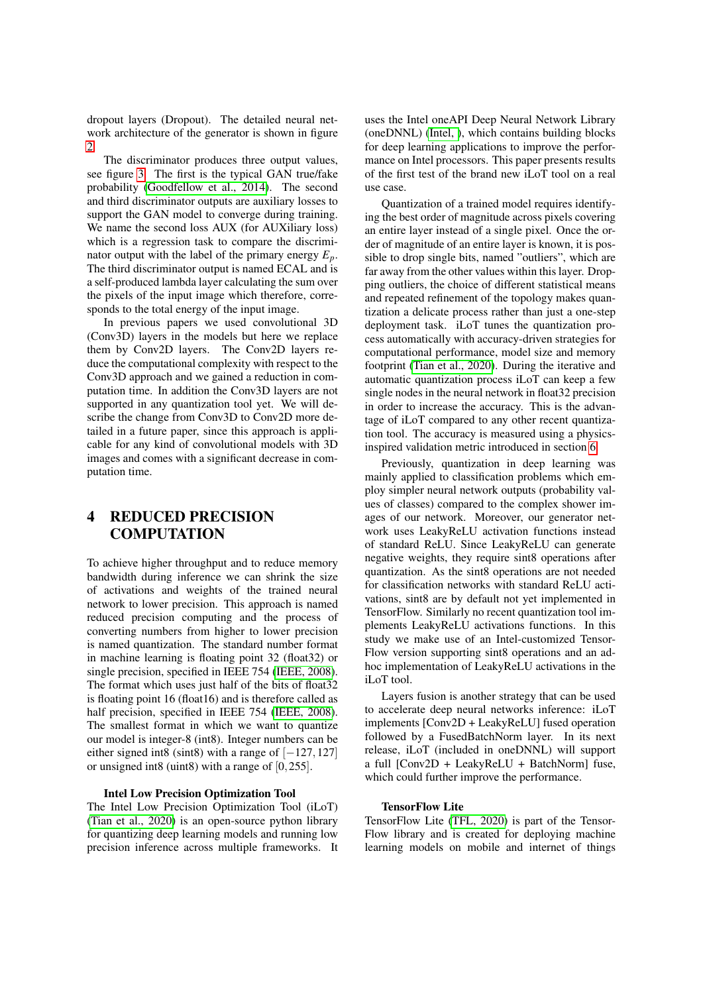dropout layers (Dropout). The detailed neural network architecture of the generator is shown in figure  $\mathcal{L}$ 

The discriminator produces three output values, see figure [3.](#page-3-1) The first is the typical GAN true/fake probability [\(Goodfellow et al., 2014\)](#page-7-10). The second and third discriminator outputs are auxiliary losses to support the GAN model to converge during training. We name the second loss AUX (for AUXiliary loss) which is a regression task to compare the discriminator output with the label of the primary energy  $E_p$ . The third discriminator output is named ECAL and is a self-produced lambda layer calculating the sum over the pixels of the input image which therefore, corresponds to the total energy of the input image.

In previous papers we used convolutional 3D (Conv3D) layers in the models but here we replace them by Conv2D layers. The Conv2D layers reduce the computational complexity with respect to the Conv3D approach and we gained a reduction in computation time. In addition the Conv3D layers are not supported in any quantization tool yet. We will describe the change from Conv3D to Conv2D more detailed in a future paper, since this approach is applicable for any kind of convolutional models with 3D images and comes with a significant decrease in computation time.

# 4 REDUCED PRECISION **COMPUTATION**

To achieve higher throughput and to reduce memory bandwidth during inference we can shrink the size of activations and weights of the trained neural network to lower precision. This approach is named reduced precision computing and the process of converting numbers from higher to lower precision is named quantization. The standard number format in machine learning is floating point 32 (float32) or single precision, specified in IEEE 754 [\(IEEE, 2008\)](#page-7-11). The format which uses just half of the bits of float 32 is floating point 16 (float16) and is therefore called as half precision, specified in IEEE 754 [\(IEEE, 2008\)](#page-7-11). The smallest format in which we want to quantize our model is integer-8 (int8). Integer numbers can be either signed int8 (sint8) with a range of  $[-127,127]$ or unsigned int8 (uint8) with a range of [0,255].

#### Intel Low Precision Optimization Tool

The Intel Low Precision Optimization Tool (iLoT) [\(Tian et al., 2020\)](#page-7-6) is an open-source python library for quantizing deep learning models and running low precision inference across multiple frameworks. It uses the Intel oneAPI Deep Neural Network Library (oneDNNL) [\(Intel, \)](#page-7-12), which contains building blocks for deep learning applications to improve the performance on Intel processors. This paper presents results of the first test of the brand new iLoT tool on a real use case.

Quantization of a trained model requires identifying the best order of magnitude across pixels covering an entire layer instead of a single pixel. Once the order of magnitude of an entire layer is known, it is possible to drop single bits, named "outliers", which are far away from the other values within this layer. Dropping outliers, the choice of different statistical means and repeated refinement of the topology makes quantization a delicate process rather than just a one-step deployment task. iLoT tunes the quantization process automatically with accuracy-driven strategies for computational performance, model size and memory footprint [\(Tian et al., 2020\)](#page-7-6). During the iterative and automatic quantization process iLoT can keep a few single nodes in the neural network in float32 precision in order to increase the accuracy. This is the advantage of iLoT compared to any other recent quantization tool. The accuracy is measured using a physicsinspired validation metric introduced in section [6.](#page-4-0)

Previously, quantization in deep learning was mainly applied to classification problems which employ simpler neural network outputs (probability values of classes) compared to the complex shower images of our network. Moreover, our generator network uses LeakyReLU activation functions instead of standard ReLU. Since LeakyReLU can generate negative weights, they require sint8 operations after quantization. As the sint8 operations are not needed for classification networks with standard ReLU activations, sint8 are by default not yet implemented in TensorFlow. Similarly no recent quantization tool implements LeakyReLU activations functions. In this study we make use of an Intel-customized Tensor-Flow version supporting sint8 operations and an adhoc implementation of LeakyReLU activations in the iLoT tool.

Layers fusion is another strategy that can be used to accelerate deep neural networks inference: iLoT implements [Conv2D + LeakyReLU] fused operation followed by a FusedBatchNorm layer. In its next release, iLoT (included in oneDNNL) will support a full [Conv2D + LeakyReLU + BatchNorm] fuse, which could further improve the performance.

### TensorFlow Lite

TensorFlow Lite [\(TFL, 2020\)](#page-7-7) is part of the Tensor-Flow library and is created for deploying machine learning models on mobile and internet of things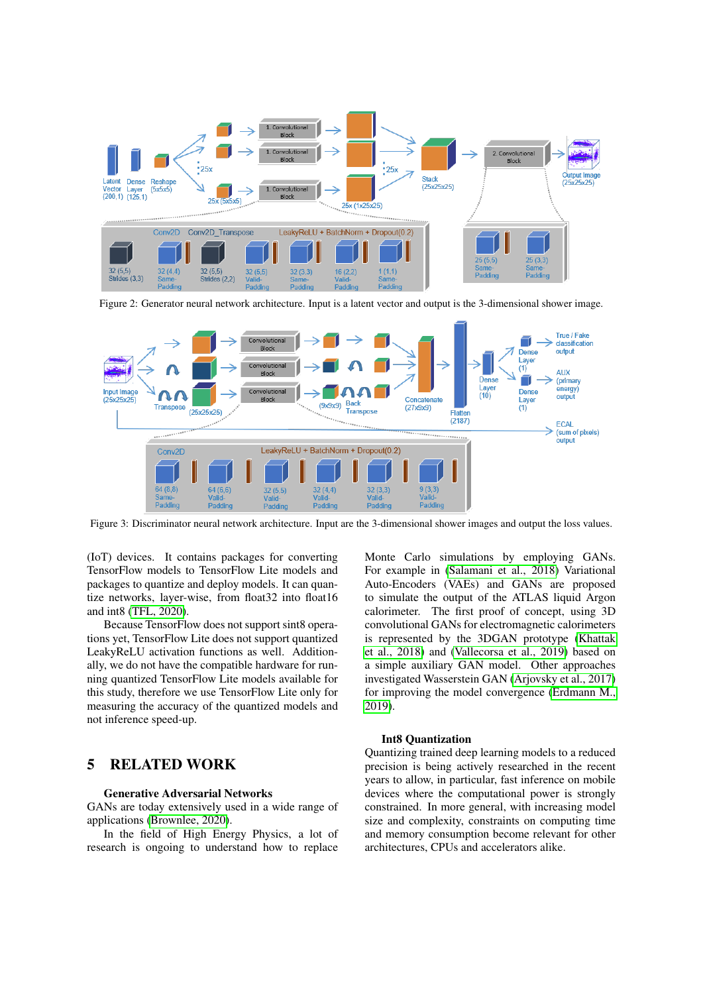<span id="page-3-0"></span>

Figure 2: Generator neural network architecture. Input is a latent vector and output is the 3-dimensional shower image.

<span id="page-3-1"></span>

Figure 3: Discriminator neural network architecture. Input are the 3-dimensional shower images and output the loss values.

(IoT) devices. It contains packages for converting TensorFlow models to TensorFlow Lite models and packages to quantize and deploy models. It can quantize networks, layer-wise, from float32 into float16 and int8 [\(TFL, 2020\)](#page-7-7).

Because TensorFlow does not support sint8 operations yet, TensorFlow Lite does not support quantized LeakyReLU activation functions as well. Additionally, we do not have the compatible hardware for running quantized TensorFlow Lite models available for this study, therefore we use TensorFlow Lite only for measuring the accuracy of the quantized models and not inference speed-up.

### 5 RELATED WORK

#### Generative Adversarial Networks

GANs are today extensively used in a wide range of applications [\(Brownlee, 2020\)](#page-7-13).

In the field of High Energy Physics, a lot of research is ongoing to understand how to replace Monte Carlo simulations by employing GANs. For example in [\(Salamani et al., 2018\)](#page-7-14) Variational Auto-Encoders (VAEs) and GANs are proposed to simulate the output of the ATLAS liquid Argon calorimeter. The first proof of concept, using 3D convolutional GANs for electromagnetic calorimeters is represented by the 3DGAN prototype [\(Khattak](#page-7-5) [et al., 2018\)](#page-7-5) and [\(Vallecorsa et al., 2019\)](#page-7-15) based on a simple auxiliary GAN model. Other approaches investigated Wasserstein GAN [\(Arjovsky et al., 2017\)](#page-7-16) for improving the model convergence [\(Erdmann M.,](#page-7-9) [2019\)](#page-7-9).

#### Int8 Quantization

Quantizing trained deep learning models to a reduced precision is being actively researched in the recent years to allow, in particular, fast inference on mobile devices where the computational power is strongly constrained. In more general, with increasing model size and complexity, constraints on computing time and memory consumption become relevant for other architectures, CPUs and accelerators alike.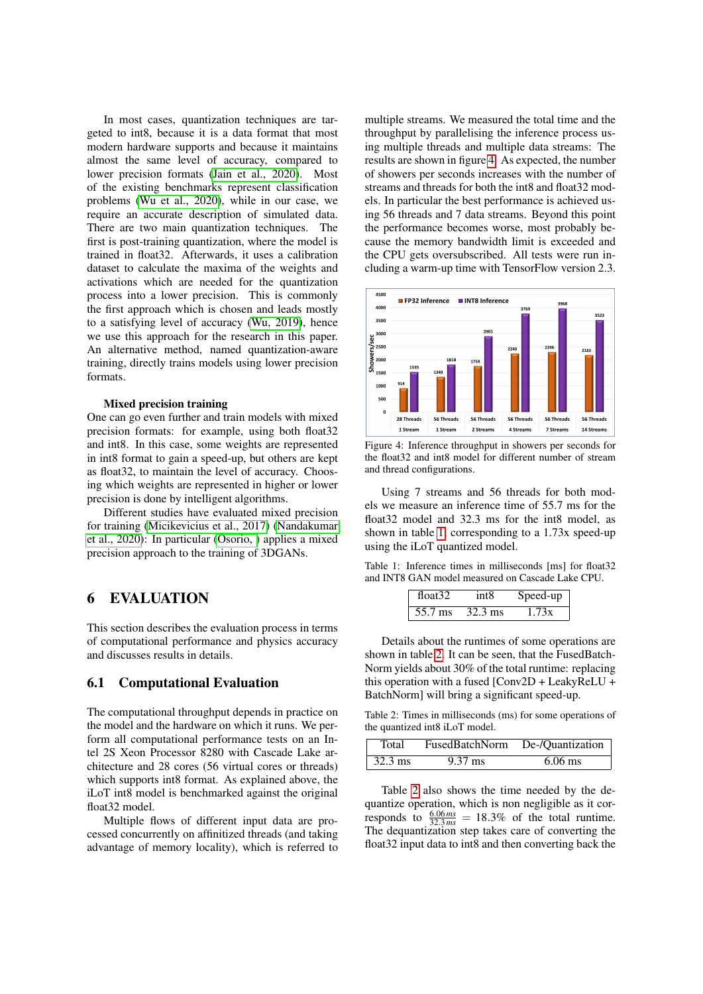In most cases, quantization techniques are targeted to int8, because it is a data format that most modern hardware supports and because it maintains almost the same level of accuracy, compared to lower precision formats [\(Jain et al., 2020\)](#page-7-17). Most of the existing benchmarks represent classification problems [\(Wu et al., 2020\)](#page-7-18), while in our case, we require an accurate description of simulated data. There are two main quantization techniques. The first is post-training quantization, where the model is trained in float32. Afterwards, it uses a calibration dataset to calculate the maxima of the weights and activations which are needed for the quantization process into a lower precision. This is commonly the first approach which is chosen and leads mostly to a satisfying level of accuracy [\(Wu, 2019\)](#page-7-19), hence we use this approach for the research in this paper. An alternative method, named quantization-aware training, directly trains models using lower precision formats.

#### Mixed precision training

One can go even further and train models with mixed precision formats: for example, using both float32 and int8. In this case, some weights are represented in int8 format to gain a speed-up, but others are kept as float32, to maintain the level of accuracy. Choosing which weights are represented in higher or lower precision is done by intelligent algorithms.

Different studies have evaluated mixed precision for training [\(Micikevicius et al., 2017\)](#page-7-20) [\(Nandakumar](#page-7-21) [et al., 2020\)](#page-7-21): In particular [\(Osorio, \)](#page-7-22) applies a mixed precision approach to the training of 3DGANs.

### <span id="page-4-0"></span>6 EVALUATION

This section describes the evaluation process in terms of computational performance and physics accuracy and discusses results in details.

### 6.1 Computational Evaluation

The computational throughput depends in practice on the model and the hardware on which it runs. We perform all computational performance tests on an Intel 2S Xeon Processor 8280 with Cascade Lake architecture and 28 cores (56 virtual cores or threads) which supports int8 format. As explained above, the iLoT int8 model is benchmarked against the original float32 model.

Multiple flows of different input data are processed concurrently on affinitized threads (and taking advantage of memory locality), which is referred to

multiple streams. We measured the total time and the throughput by parallelising the inference process using multiple threads and multiple data streams: The results are shown in figure [4.](#page-4-1) As expected, the number of showers per seconds increases with the number of streams and threads for both the int8 and float32 models. In particular the best performance is achieved using 56 threads and 7 data streams. Beyond this point the performance becomes worse, most probably because the memory bandwidth limit is exceeded and the CPU gets oversubscribed. All tests were run including a warm-up time with TensorFlow version 2.3.

<span id="page-4-1"></span>

Figure 4: Inference throughput in showers per seconds for the float32 and int8 model for different number of stream and thread configurations.

Using 7 streams and 56 threads for both models we measure an inference time of 55.7 ms for the float32 model and 32.3 ms for the int8 model, as shown in table [1,](#page-4-2) corresponding to a 1.73x speed-up using the iLoT quantized model.

<span id="page-4-2"></span>Table 1: Inference times in milliseconds [ms] for float32 and INT8 GAN model measured on Cascade Lake CPU.

| float $32$ | int8              | Speed-up |
|------------|-------------------|----------|
| 55.7 ms    | $32.3 \text{ ms}$ | 1.73x    |

Details about the runtimes of some operations are shown in table [2.](#page-4-3) It can be seen, that the FusedBatch-Norm yields about 30% of the total runtime: replacing this operation with a fused [Conv2D + LeakyReLU + BatchNorm] will bring a significant speed-up.

<span id="page-4-3"></span>Table 2: Times in milliseconds (ms) for some operations of the quantized int8 iLoT model.

| Total             | <b>FusedBatchNorm</b> | De-/Quantization |
|-------------------|-----------------------|------------------|
| $32.3 \text{ ms}$ | $9.37 \text{ ms}$     | $6.06$ ms        |

Table [2](#page-4-3) also shows the time needed by the dequantize operation, which is non negligible as it corresponds to  $\frac{6.06 \text{ ms}}{32.3 \text{ ms}} = 18.3\%$  of the total runtime. The dequantization step takes care of converting the float32 input data to int8 and then converting back the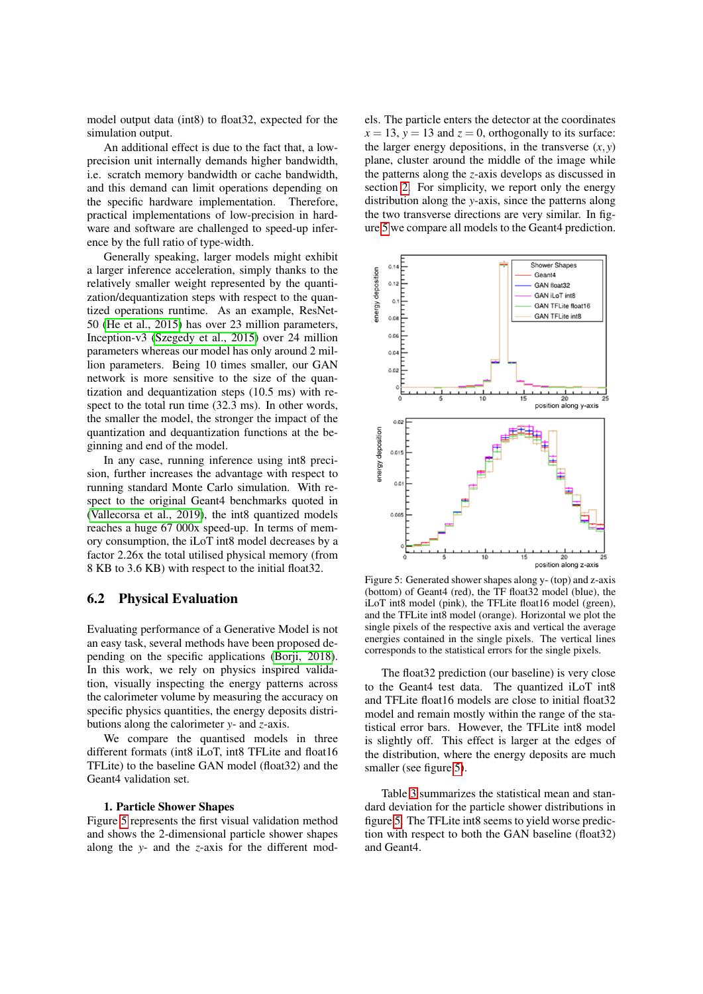model output data (int8) to float32, expected for the simulation output.

An additional effect is due to the fact that, a lowprecision unit internally demands higher bandwidth, i.e. scratch memory bandwidth or cache bandwidth, and this demand can limit operations depending on the specific hardware implementation. Therefore, practical implementations of low-precision in hardware and software are challenged to speed-up inference by the full ratio of type-width.

Generally speaking, larger models might exhibit a larger inference acceleration, simply thanks to the relatively smaller weight represented by the quantization/dequantization steps with respect to the quantized operations runtime. As an example, ResNet-50 [\(He et al., 2015\)](#page-7-23) has over 23 million parameters, Inception-v3 [\(Szegedy et al., 2015\)](#page-7-24) over 24 million parameters whereas our model has only around 2 million parameters. Being 10 times smaller, our GAN network is more sensitive to the size of the quantization and dequantization steps (10.5 ms) with respect to the total run time (32.3 ms). In other words, the smaller the model, the stronger the impact of the quantization and dequantization functions at the beginning and end of the model.

In any case, running inference using int8 precision, further increases the advantage with respect to running standard Monte Carlo simulation. With respect to the original Geant4 benchmarks quoted in [\(Vallecorsa et al., 2019\)](#page-7-15), the int8 quantized models reaches a huge 67 000x speed-up. In terms of memory consumption, the iLoT int8 model decreases by a factor 2.26x the total utilised physical memory (from 8 KB to 3.6 KB) with respect to the initial float32.

### 6.2 Physical Evaluation

Evaluating performance of a Generative Model is not an easy task, several methods have been proposed depending on the specific applications [\(Borji, 2018\)](#page-7-25). In this work, we rely on physics inspired validation, visually inspecting the energy patterns across the calorimeter volume by measuring the accuracy on specific physics quantities, the energy deposits distributions along the calorimeter *y*- and *z*-axis.

We compare the quantised models in three different formats (int8 iLoT, int8 TFLite and float16 TFLite) to the baseline GAN model (float32) and the Geant4 validation set.

### 1. Particle Shower Shapes

Figure [5](#page-5-0) represents the first visual validation method and shows the 2-dimensional particle shower shapes along the *y*- and the *z*-axis for the different models. The particle enters the detector at the coordinates  $x = 13$ ,  $y = 13$  and  $z = 0$ , orthogonally to its surface: the larger energy depositions, in the transverse  $(x, y)$ plane, cluster around the middle of the image while the patterns along the *z*-axis develops as discussed in section [2.](#page-1-2) For simplicity, we report only the energy distribution along the *y*-axis, since the patterns along the two transverse directions are very similar. In figure [5](#page-5-0) we compare all models to the Geant4 prediction.

<span id="page-5-0"></span>

Figure 5: Generated shower shapes along y- (top) and z-axis (bottom) of Geant4 (red), the TF float32 model (blue), the iLoT int8 model (pink), the TFLite float16 model (green), and the TFLite int8 model (orange). Horizontal we plot the single pixels of the respective axis and vertical the average energies contained in the single pixels. The vertical lines corresponds to the statistical errors for the single pixels.

The float32 prediction (our baseline) is very close to the Geant4 test data. The quantized iLoT int8 and TFLite float16 models are close to initial float32 model and remain mostly within the range of the statistical error bars. However, the TFLite int8 model is slightly off. This effect is larger at the edges of the distribution, where the energy deposits are much smaller (see figure [5\)](#page-5-0).

Table [3](#page-6-0) summarizes the statistical mean and standard deviation for the particle shower distributions in figure [5.](#page-5-0) The TFLite int8 seems to yield worse prediction with respect to both the GAN baseline (float32) and Geant4.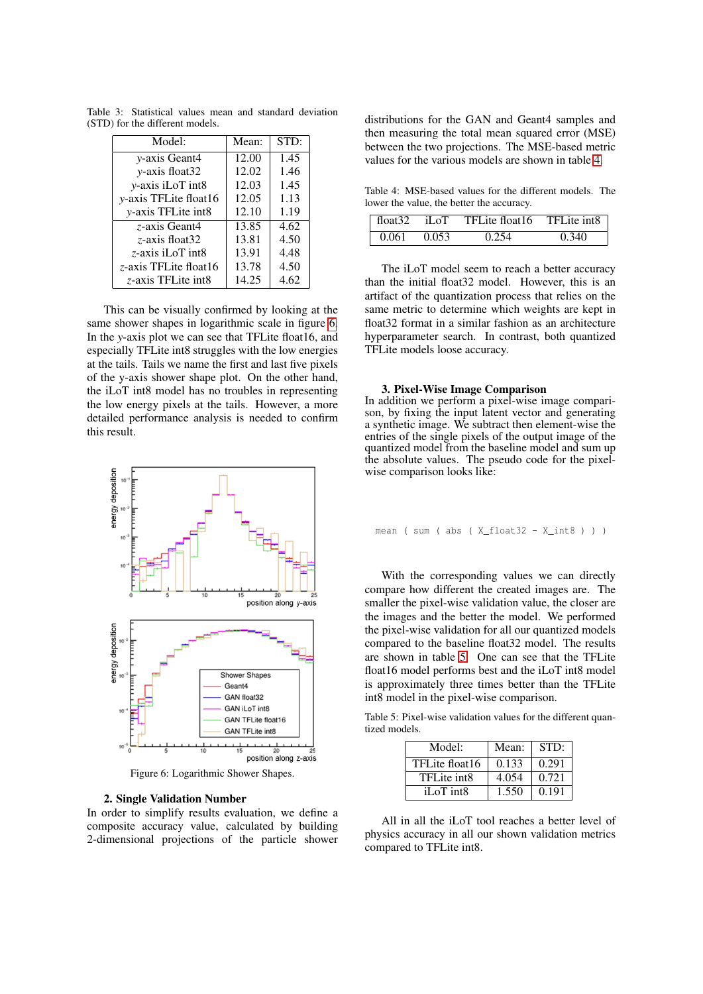| Model:                     | Mean: | STD: |
|----------------------------|-------|------|
| <i>v</i> -axis Geant4      | 12.00 | 1.45 |
| y-axis float32             | 12.02 | 1.46 |
| y-axis iLoT int8           | 12.03 | 1.45 |
| v-axis TFLite float16      | 12.05 | 1.13 |
| <i>v</i> -axis TFLite int8 | 12.10 | 1.19 |
| z-axis Geant4              | 13.85 | 4.62 |
| z-axis float32             | 13.81 | 4.50 |
| z-axis iLoT int8           | 13.91 | 4.48 |
| z-axis TFLite float16      | 13.78 | 4.50 |
| z-axis TFLite int8         | 14.25 | 4.62 |

<span id="page-6-0"></span>Table 3: Statistical values mean and standard deviation (STD) for the different models.

This can be visually confirmed by looking at the same shower shapes in logarithmic scale in figure [6.](#page-6-1) In the *y*-axis plot we can see that TFLite float16, and especially TFLite int8 struggles with the low energies at the tails. Tails we name the first and last five pixels of the y-axis shower shape plot. On the other hand, the iLoT int8 model has no troubles in representing the low energy pixels at the tails. However, a more detailed performance analysis is needed to confirm this result.

<span id="page-6-1"></span>

Figure 6: Logarithmic Shower Shapes.

#### 2. Single Validation Number

In order to simplify results evaluation, we define a composite accuracy value, calculated by building 2-dimensional projections of the particle shower

distributions for the GAN and Geant4 samples and then measuring the total mean squared error (MSE) between the two projections. The MSE-based metric values for the various models are shown in table [4.](#page-6-2)

<span id="page-6-2"></span>Table 4: MSE-based values for the different models. The lower the value, the better the accuracy.

| float $32$ | ToI   | TFLite float16 | TFLite int8 |
|------------|-------|----------------|-------------|
| 0.061      | 0.053 |                | 0.340       |

The iLoT model seem to reach a better accuracy than the initial float32 model. However, this is an artifact of the quantization process that relies on the same metric to determine which weights are kept in float32 format in a similar fashion as an architecture hyperparameter search. In contrast, both quantized TFLite models loose accuracy.

#### 3. Pixel-Wise Image Comparison

In addition we perform a pixel-wise image comparison, by fixing the input latent vector and generating a synthetic image. We subtract then element-wise the entries of the single pixels of the output image of the quantized model from the baseline model and sum up the absolute values. The pseudo code for the pixelwise comparison looks like:

```
mean ( sum ( abs ( X float32 - X int8 ) ) )
```
With the corresponding values we can directly compare how different the created images are. The smaller the pixel-wise validation value, the closer are the images and the better the model. We performed the pixel-wise validation for all our quantized models compared to the baseline float32 model. The results are shown in table [5.](#page-6-3) One can see that the TFLite float16 model performs best and the iLoT int8 model is approximately three times better than the TFLite int8 model in the pixel-wise comparison.

<span id="page-6-3"></span>Table 5: Pixel-wise validation values for the different quantized models.

| Model:         | Mean: | STD:  |
|----------------|-------|-------|
| TFLite float16 | 0.133 | 0.291 |
| TFL ite int8   | 4.054 | 0.721 |
| iLoT int8      | 1.550 | 0.191 |

All in all the iLoT tool reaches a better level of physics accuracy in all our shown validation metrics compared to TFLite int8.